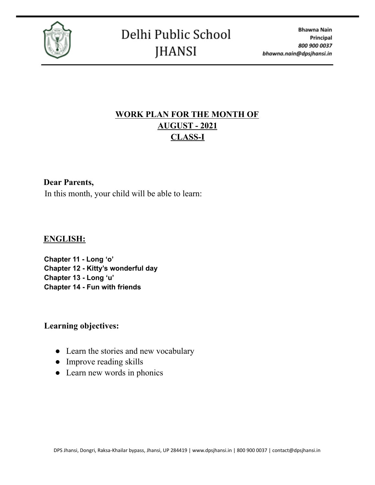

# **WORK PLAN FOR THE MONTH OF AUGUST - 2021 CLASS-I**

#### **Dear Parents,**

In this month, your child will be able to learn:

#### **ENGLISH:**

**Chapter 11 - Long 'o' Chapter 12 - Kitty's wonderful day Chapter 13 - Long 'u' Chapter 14 - Fun with friends**

#### **Learning objectives:**

- Learn the stories and new vocabulary
- Improve reading skills
- Learn new words in phonics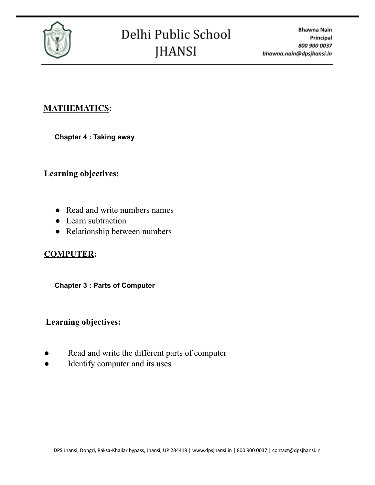

### **MATHEMATICS:**

**Chapter 4 : Taking away**

**Learning objectives:**

- Read and write numbers names
- Learn subtraction
- Relationship between numbers

### **COMPUTER:**

#### **Chapter 3 : Parts of Computer**

### **Learning objectives:**

- Read and write the different parts of computer
- Identify computer and its uses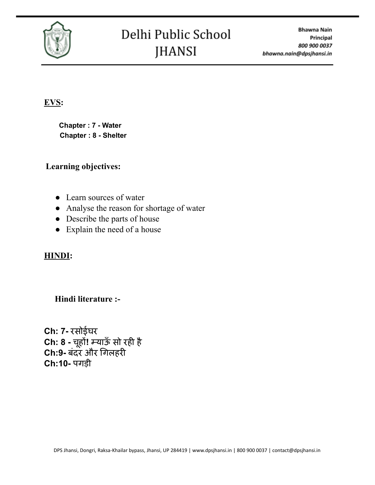

# **EVS:**

**Chapter : 7 - Water Chapter : 8 - Shelter**

### **Learning objectives:**

- Learn sources of water
- Analyse the reason for shortage of water
- Describe the parts of house
- Explain the need of a house

# **HINDI:**

# **Hindi literature :-**

**Ch: 7-** रसोईघर **Ch: 8 -** चहू ों**!** म्याऊँ सो रही है **Ch:9-** बंदर और गिलहरी **Ch:10-** पगड़ी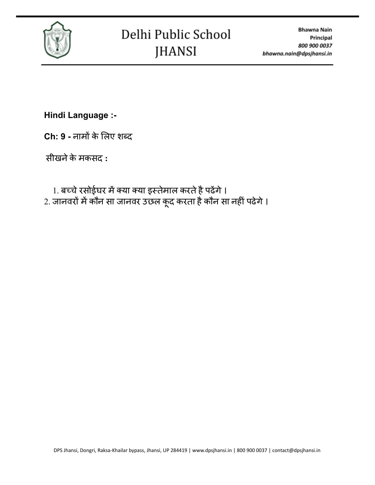

**Hindi Language :-**

**Ch: 9 -** नामों के लि ए शब्द

सीखनेके मकसद **:**

1. बच्चे रसोईघर में क्या क्या इस्तेमाल करते है पढेंगे । 2. जानवरों में कौन सा जानवर उछल कूद करता है कौन सा नहीं पढेगे ।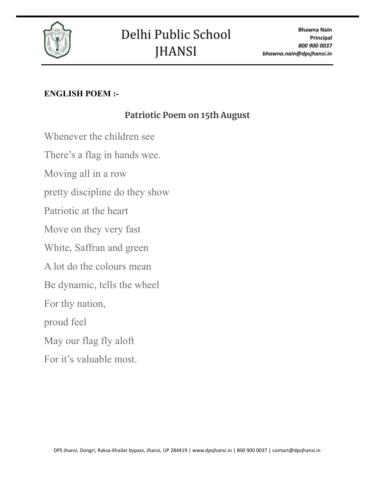

# **ENGLISH POEM :-**

# **Patriotic Poem on 15th August**

Whenever the children see

There's a flag in hands wee.

Moving all in a row

pretty discipline do they show

Patriotic at the heart

Move on they very fast

White, Saffran and green

A lot do the colours mean

Be dynamic, tells the wheel

For thy nation,

proud feel

May our flag fly aloft

For it's valuable most.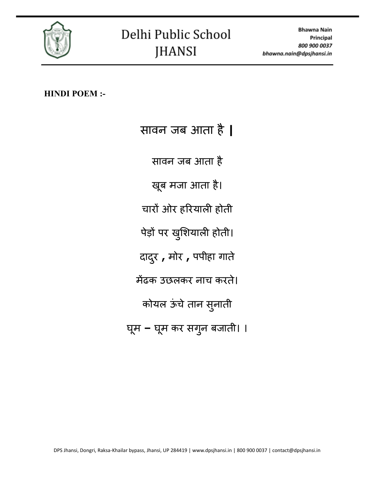

**HINDI POEM :-**

सावन जब आता है**|** सावन जब आता है खब ू मजा आता है। चारों ओर हरि याली होती पेड़ो पर खुशियाली होती। दादरु **,** मोर **,** पपीहा गाते मेंढक उछलकर नाच करत।े कोयल ऊंचे तान सुनाती घूम **–** घूम कर सगुन बजाती। ।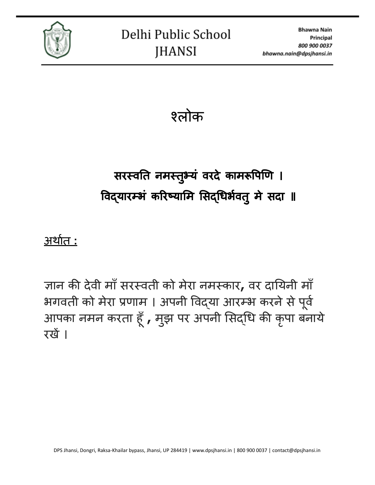

श्लोक

# सरस्वति नमस्तुभ्य वरदे कामरूपिणि । विद्यारम्भं करिष्यामि सिद्धिर्भवतु मे सदा ॥

# अर्थात **:**

ज्ञान की देवी माँसरस्वती को मेरा नमस्कार**,** वर दायि नी माँ भगवती को मेरा प्रणाम । अपनी विद्या आरम्भ करने से पूर्व आपका नमन करता हूँ **,** मुझ पर अपनी सिद्धि की कृपा बनाये । रखें।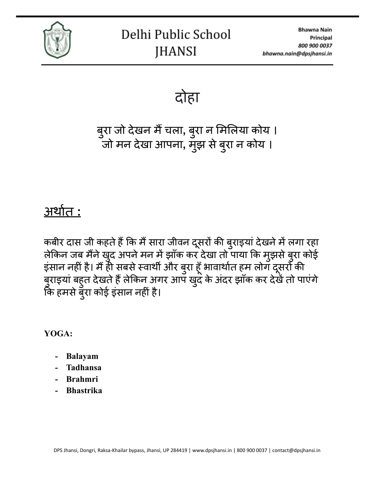

दोहा

बुरा जो देखन मैं चला, बुरा न मिलिया कोय । जो मन देखा आपना, मुझ से बुरा न कोय ।

# अर्थात **:**

कबीर दास जी कहते हैं कि मैं सारा जीवन दूसरों की बुराइया देखने में लगा रहा लेकिन जब मैंने खुद अपने मन में झाँक कर देखा तो पाया कि मुझसे बुरा कोई इसान नहीं है। मैं ही सबसे स्वार्थी और बुरा हूँ भावार्थात हम लोग दूसरों की बुराइया बहुत देखते हैं लेकिन अगर आप खुद के अदर झाँक कर देखें तो पाएंगे कि हमसे बुरा कोई इसान नहीं है।

**YOGA:**

- **- Balayam**
- **- Tadhansa**
- **- Brahmri**
- **- Bhastrika**